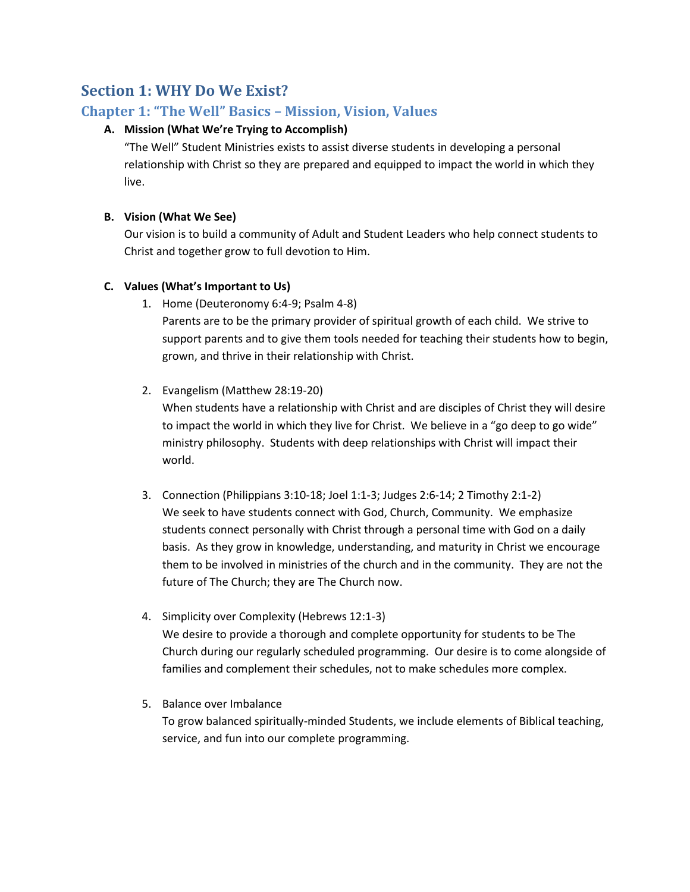# **Section 1: WHY Do We Exist?**

## **Chapter 1: "The Well" Basics – Mission, Vision, Values**

### **A. Mission (What We're Trying to Accomplish)**

"The Well" Student Ministries exists to assist diverse students in developing a personal relationship with Christ so they are prepared and equipped to impact the world in which they live.

### **B. Vision (What We See)**

Our vision is to build a community of Adult and Student Leaders who help connect students to Christ and together grow to full devotion to Him.

#### **C. Values (What's Important to Us)**

- 1. Home (Deuteronomy 6:4-9; Psalm 4-8) Parents are to be the primary provider of spiritual growth of each child. We strive to support parents and to give them tools needed for teaching their students how to begin, grown, and thrive in their relationship with Christ.
- 2. Evangelism (Matthew 28:19-20)

When students have a relationship with Christ and are disciples of Christ they will desire to impact the world in which they live for Christ. We believe in a "go deep to go wide" ministry philosophy. Students with deep relationships with Christ will impact their world.

- 3. Connection (Philippians 3:10-18; Joel 1:1-3; Judges 2:6-14; 2 Timothy 2:1-2) We seek to have students connect with God, Church, Community. We emphasize students connect personally with Christ through a personal time with God on a daily basis. As they grow in knowledge, understanding, and maturity in Christ we encourage them to be involved in ministries of the church and in the community. They are not the future of The Church; they are The Church now.
- 4. Simplicity over Complexity (Hebrews 12:1-3) We desire to provide a thorough and complete opportunity for students to be The Church during our regularly scheduled programming. Our desire is to come alongside of families and complement their schedules, not to make schedules more complex.
- 5. Balance over Imbalance To grow balanced spiritually-minded Students, we include elements of Biblical teaching, service, and fun into our complete programming.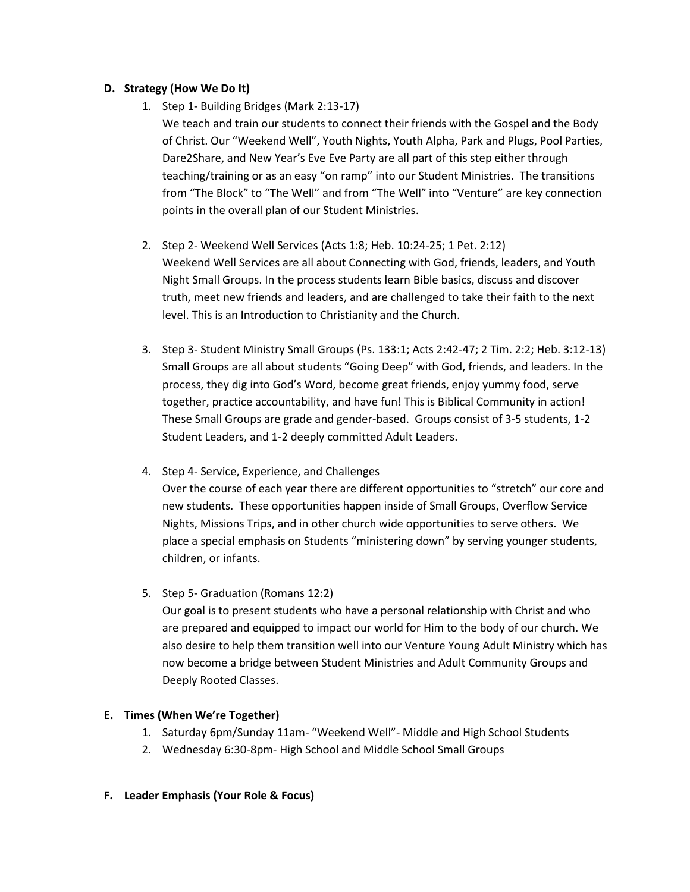#### **D. Strategy (How We Do It)**

1. Step 1- Building Bridges (Mark 2:13-17)

We teach and train our students to connect their friends with the Gospel and the Body of Christ. Our "Weekend Well", Youth Nights, Youth Alpha, Park and Plugs, Pool Parties, Dare2Share, and New Year's Eve Eve Party are all part of this step either through teaching/training or as an easy "on ramp" into our Student Ministries. The transitions from "The Block" to "The Well" and from "The Well" into "Venture" are key connection points in the overall plan of our Student Ministries.

- 2. Step 2- Weekend Well Services (Acts 1:8; Heb. 10:24-25; 1 Pet. 2:12) Weekend Well Services are all about Connecting with God, friends, leaders, and Youth Night Small Groups. In the process students learn Bible basics, discuss and discover truth, meet new friends and leaders, and are challenged to take their faith to the next level. This is an Introduction to Christianity and the Church.
- 3. Step 3- Student Ministry Small Groups (Ps. 133:1; Acts 2:42-47; 2 Tim. 2:2; Heb. 3:12-13) Small Groups are all about students "Going Deep" with God, friends, and leaders. In the process, they dig into God's Word, become great friends, enjoy yummy food, serve together, practice accountability, and have fun! This is Biblical Community in action! These Small Groups are grade and gender-based. Groups consist of 3-5 students, 1-2 Student Leaders, and 1-2 deeply committed Adult Leaders.
- 4. Step 4- Service, Experience, and Challenges Over the course of each year there are different opportunities to "stretch" our core and new students. These opportunities happen inside of Small Groups, Overflow Service Nights, Missions Trips, and in other church wide opportunities to serve others. We place a special emphasis on Students "ministering down" by serving younger students, children, or infants.
- 5. Step 5- Graduation (Romans 12:2) Our goal is to present students who have a personal relationship with Christ and who are prepared and equipped to impact our world for Him to the body of our church. We also desire to help them transition well into our Venture Young Adult Ministry which has now become a bridge between Student Ministries and Adult Community Groups and Deeply Rooted Classes.

#### **E. Times (When We're Together)**

- 1. Saturday 6pm/Sunday 11am- "Weekend Well"- Middle and High School Students
- 2. Wednesday 6:30-8pm- High School and Middle School Small Groups
- **F. Leader Emphasis (Your Role & Focus)**